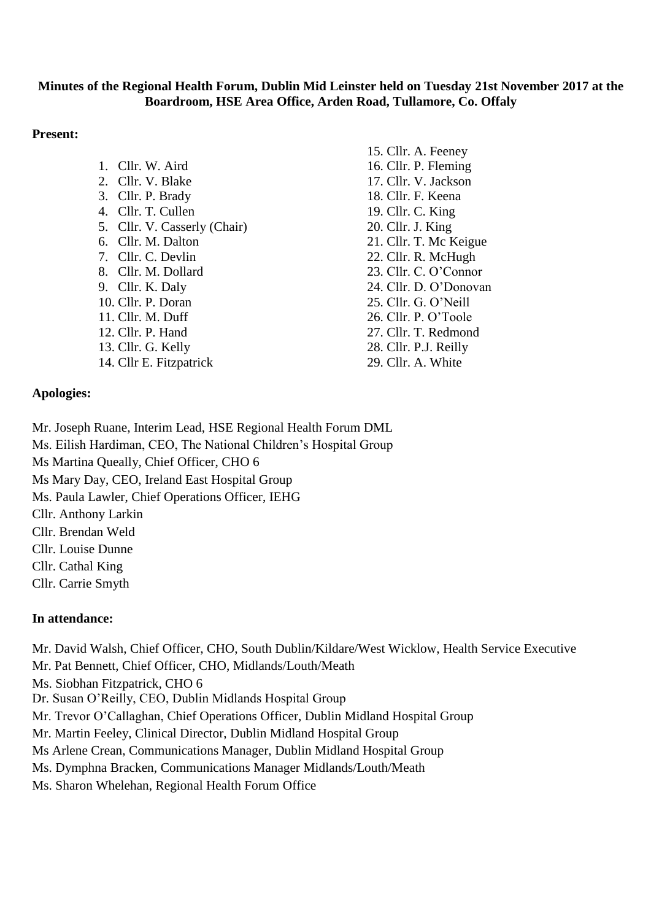### **Minutes of the Regional Health Forum, Dublin Mid Leinster held on Tuesday 21st November 2017 at the Boardroom, HSE Area Office, Arden Road, Tullamore, Co. Offaly**

### **Present:**

|                              | 15. Cllr. A. Feeney    |
|------------------------------|------------------------|
| 1. Cllr. W. Aird             | 16. Cllr. P. Fleming   |
| 2. Cllr. V. Blake            | 17. Cllr. V. Jackson   |
| 3. Cllr. P. Brady            | 18. Cllr. F. Keena     |
| 4. Cllr. T. Cullen           | 19. Cllr. C. King      |
| 5. Cllr. V. Casserly (Chair) | 20. Cllr. J. King      |
| 6. Cllr. M. Dalton           | 21. Cllr. T. Mc Keigue |
| 7. Cllr. C. Devlin           | 22. Cllr. R. McHugh    |
| 8. Cllr. M. Dollard          | 23. Cllr. C. O'Connor  |
| 9. Cllr. K. Daly             | 24. Cllr. D. O'Donovan |
| 10. Cllr. P. Doran           | 25. Cllr. G. O'Neill   |
| 11. Cllr. M. Duff            | 26. Cllr. P. O'Toole   |
| 12. Cllr. P. Hand            | 27. Cllr. T. Redmond   |
| 13. Cllr. G. Kelly           | 28. Cllr. P.J. Reilly  |
| 14. Cllr E. Fitzpatrick      | 29. Cllr. A. White     |

## **Apologies:**

Mr. Joseph Ruane, Interim Lead, HSE Regional Health Forum DML Ms. Eilish Hardiman, CEO, The National Children's Hospital Group Ms Martina Queally, Chief Officer, CHO 6 Ms Mary Day, CEO, Ireland East Hospital Group

Ms. Paula Lawler, Chief Operations Officer, IEHG

Cllr. Anthony Larkin

Cllr. Brendan Weld

Cllr. Louise Dunne

Cllr. Cathal King

Cllr. Carrie Smyth

## **In attendance:**

Mr. David Walsh, Chief Officer, CHO, South Dublin/Kildare/West Wicklow, Health Service Executive

Mr. Pat Bennett, Chief Officer, CHO, Midlands/Louth/Meath

Ms. Siobhan Fitzpatrick, CHO 6

Dr. Susan O'Reilly, CEO, Dublin Midlands Hospital Group

Mr. Trevor O'Callaghan, Chief Operations Officer, Dublin Midland Hospital Group

Mr. Martin Feeley, Clinical Director, Dublin Midland Hospital Group

Ms Arlene Crean, Communications Manager, Dublin Midland Hospital Group

Ms. Dymphna Bracken, Communications Manager Midlands/Louth/Meath

Ms. Sharon Whelehan, Regional Health Forum Office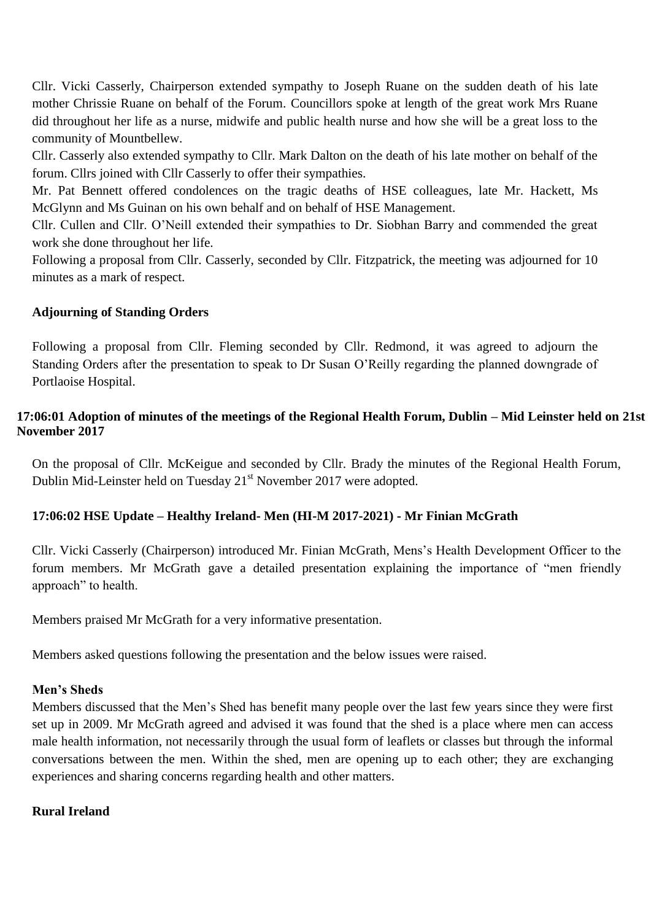Cllr. Vicki Casserly, Chairperson extended sympathy to Joseph Ruane on the sudden death of his late mother Chrissie Ruane on behalf of the Forum. Councillors spoke at length of the great work Mrs Ruane did throughout her life as a nurse, midwife and public health nurse and how she will be a great loss to the community of Mountbellew.

Cllr. Casserly also extended sympathy to Cllr. Mark Dalton on the death of his late mother on behalf of the forum. Cllrs joined with Cllr Casserly to offer their sympathies.

Mr. Pat Bennett offered condolences on the tragic deaths of HSE colleagues, late Mr. Hackett, Ms McGlynn and Ms Guinan on his own behalf and on behalf of HSE Management.

Cllr. Cullen and Cllr. O'Neill extended their sympathies to Dr. Siobhan Barry and commended the great work she done throughout her life.

Following a proposal from Cllr. Casserly, seconded by Cllr. Fitzpatrick, the meeting was adjourned for 10 minutes as a mark of respect.

# **Adjourning of Standing Orders**

Following a proposal from Cllr. Fleming seconded by Cllr. Redmond, it was agreed to adjourn the Standing Orders after the presentation to speak to Dr Susan O'Reilly regarding the planned downgrade of Portlaoise Hospital.

# **17:06:01 Adoption of minutes of the meetings of the Regional Health Forum, Dublin – Mid Leinster held on 21st November 2017**

On the proposal of Cllr. McKeigue and seconded by Cllr. Brady the minutes of the Regional Health Forum, Dublin Mid-Leinster held on Tuesday 21<sup>st</sup> November 2017 were adopted.

# **17:06:02 HSE Update – Healthy Ireland- Men (HI-M 2017-2021) - Mr Finian McGrath**

Cllr. Vicki Casserly (Chairperson) introduced Mr. Finian McGrath, Mens's Health Development Officer to the forum members. Mr McGrath gave a detailed presentation explaining the importance of "men friendly approach" to health.

Members praised Mr McGrath for a very informative presentation.

Members asked questions following the presentation and the below issues were raised.

# **Men's Sheds**

Members discussed that the Men's Shed has benefit many people over the last few years since they were first set up in 2009. Mr McGrath agreed and advised it was found that the shed is a place where men can access male health information, not necessarily through the usual form of leaflets or classes but through the informal conversations between the men. Within the shed, men are opening up to each other; they are exchanging experiences and sharing concerns regarding health and other matters.

## **Rural Ireland**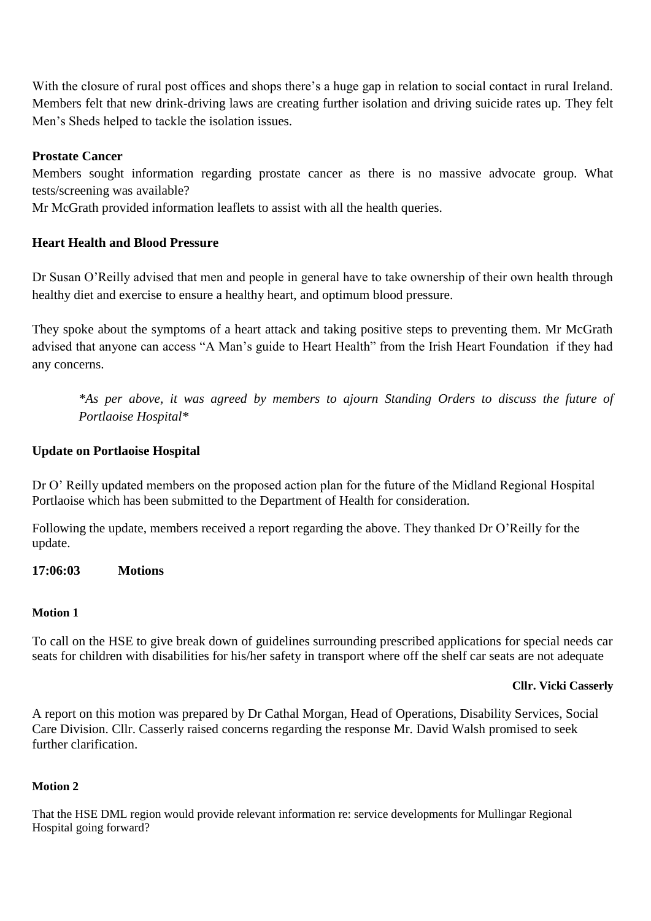With the closure of rural post offices and shops there's a huge gap in relation to social contact in rural Ireland. Members felt that new drink-driving laws are creating further isolation and driving suicide rates up. They felt Men's Sheds helped to tackle the isolation issues.

## **Prostate Cancer**

Members sought information regarding prostate cancer as there is no massive advocate group. What tests/screening was available?

Mr McGrath provided information leaflets to assist with all the health queries.

## **Heart Health and Blood Pressure**

Dr Susan O'Reilly advised that men and people in general have to take ownership of their own health through healthy diet and exercise to ensure a healthy heart, and optimum blood pressure.

They spoke about the symptoms of a heart attack and taking positive steps to preventing them. Mr McGrath advised that anyone can access "A Man's guide to Heart Health" from the Irish Heart Foundation if they had any concerns.

*\*As per above, it was agreed by members to ajourn Standing Orders to discuss the future of Portlaoise Hospital\**

### **Update on Portlaoise Hospital**

Dr O' Reilly updated members on the proposed action plan for the future of the Midland Regional Hospital Portlaoise which has been submitted to the Department of Health for consideration.

Following the update, members received a report regarding the above. They thanked Dr O'Reilly for the update.

**17:06:03 Motions**

### **Motion 1**

To call on the HSE to give break down of guidelines surrounding prescribed applications for special needs car seats for children with disabilities for his/her safety in transport where off the shelf car seats are not adequate

#### **Cllr. Vicki Casserly**

A report on this motion was prepared by Dr Cathal Morgan, Head of Operations, Disability Services, Social Care Division. Cllr. Casserly raised concerns regarding the response Mr. David Walsh promised to seek further clarification.

### **Motion 2**

That the HSE DML region would provide relevant information re: service developments for Mullingar Regional Hospital going forward?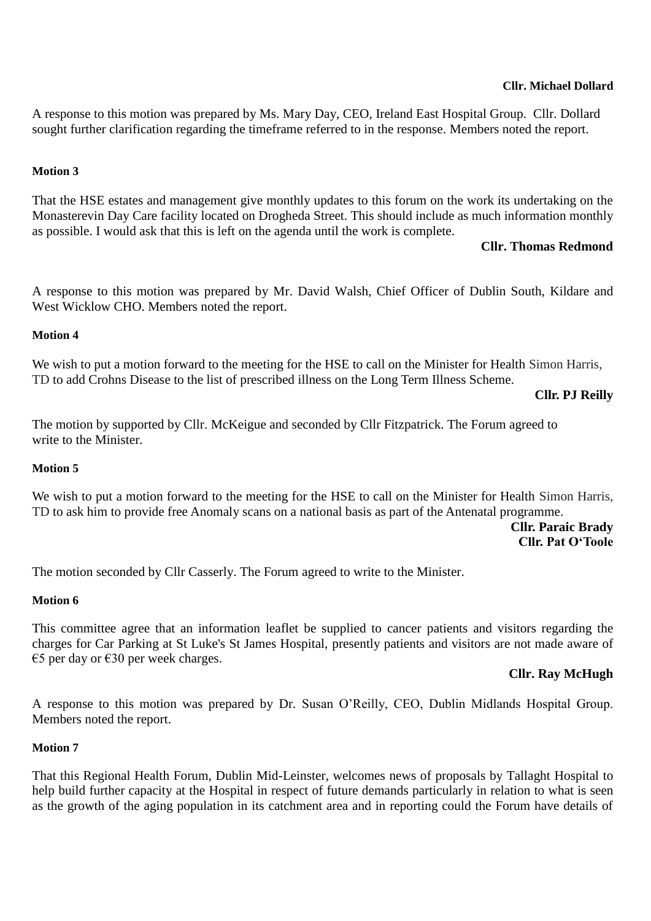A response to this motion was prepared by Ms. Mary Day, CEO, Ireland East Hospital Group. Cllr. Dollard sought further clarification regarding the timeframe referred to in the response. Members noted the report.

### **Motion 3**

That the HSE estates and management give monthly updates to this forum on the work its undertaking on the Monasterevin Day Care facility located on Drogheda Street. This should include as much information monthly as possible. I would ask that this is left on the agenda until the work is complete.

## **Cllr. Thomas Redmond**

A response to this motion was prepared by Mr. David Walsh, Chief Officer of Dublin South, Kildare and West Wicklow CHO. Members noted the report.

#### **Motion 4**

We wish to put a motion forward to the meeting for the HSE to call on the Minister for Health Simon Harris, TD to add Crohns Disease to the list of prescribed illness on the Long Term Illness Scheme.

### **Cllr. PJ Reilly**

The motion by supported by Cllr. McKeigue and seconded by Cllr Fitzpatrick. The Forum agreed to write to the Minister.

#### **Motion 5**

We wish to put a motion forward to the meeting for the HSE to call on the Minister for Health Simon Harris, TD to ask him to provide free Anomaly scans on a national basis as part of the Antenatal programme.

### **Cllr. Paraic Brady Cllr. Pat O'Toole**

The motion seconded by Cllr Casserly. The Forum agreed to write to the Minister.

#### **Motion 6**

This committee agree that an information leaflet be supplied to cancer patients and visitors regarding the charges for Car Parking at St Luke's St James Hospital, presently patients and visitors are not made aware of €5 per day or €30 per week charges.

### **Cllr. Ray McHugh**

A response to this motion was prepared by Dr. Susan O'Reilly, CEO, Dublin Midlands Hospital Group. Members noted the report.

#### **Motion 7**

That this Regional Health Forum, Dublin Mid-Leinster, welcomes news of proposals by Tallaght Hospital to help build further capacity at the Hospital in respect of future demands particularly in relation to what is seen as the growth of the aging population in its catchment area and in reporting could the Forum have details of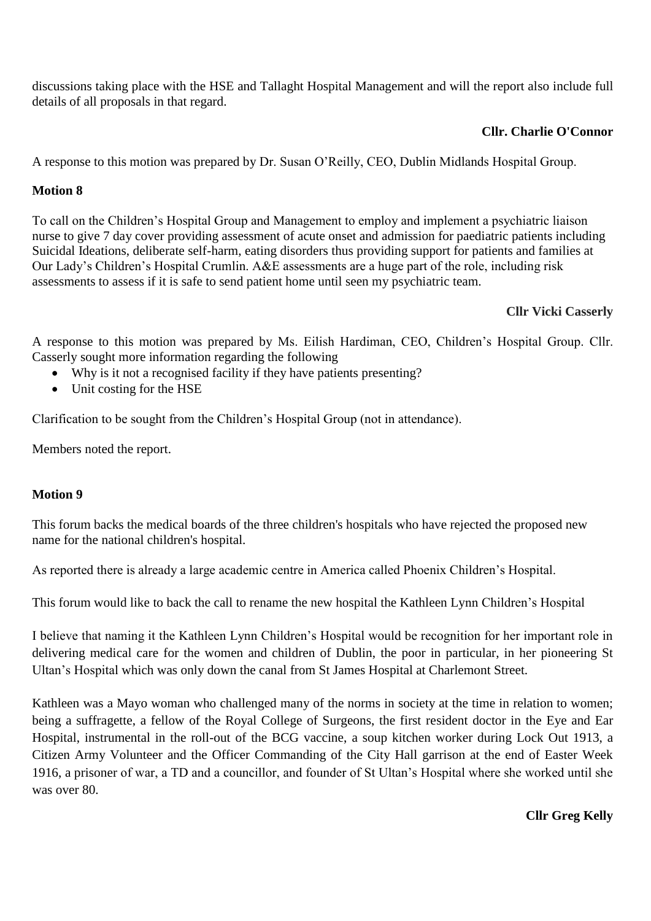discussions taking place with the HSE and Tallaght Hospital Management and will the report also include full details of all proposals in that regard.

# **Cllr. Charlie O'Connor**

A response to this motion was prepared by Dr. Susan O'Reilly, CEO, Dublin Midlands Hospital Group.

# **Motion 8**

To call on the Children's Hospital Group and Management to employ and implement a psychiatric liaison nurse to give 7 day cover providing assessment of acute onset and admission for paediatric patients including Suicidal Ideations, deliberate self-harm, eating disorders thus providing support for patients and families at Our Lady's Children's Hospital Crumlin. A&E assessments are a huge part of the role, including risk assessments to assess if it is safe to send patient home until seen my psychiatric team.

# **Cllr Vicki Casserly**

A response to this motion was prepared by Ms. Eilish Hardiman, CEO, Children's Hospital Group. Cllr. Casserly sought more information regarding the following

- Why is it not a recognised facility if they have patients presenting?
- Unit costing for the HSE

Clarification to be sought from the Children's Hospital Group (not in attendance).

Members noted the report.

## **Motion 9**

This forum backs the medical boards of the three children's hospitals who have rejected the proposed new name for the national children's hospital.

As reported there is already a large academic centre in America called Phoenix Children's Hospital.

This forum would like to back the call to rename the new hospital the Kathleen Lynn Children's Hospital

I believe that naming it the Kathleen Lynn Children's Hospital would be recognition for her important role in delivering medical care for the women and children of Dublin, the poor in particular, in her pioneering St Ultan's Hospital which was only down the canal from St James Hospital at Charlemont Street.

Kathleen was a Mayo woman who challenged many of the norms in society at the time in relation to women; being a suffragette, a fellow of the Royal College of Surgeons, the first resident doctor in the Eye and Ear Hospital, instrumental in the roll-out of the BCG vaccine, a soup kitchen worker during Lock Out 1913, a Citizen Army Volunteer and the Officer Commanding of the City Hall garrison at the end of Easter Week 1916, a prisoner of war, a TD and a councillor, and founder of St Ultan's Hospital where she worked until she was over 80.

## **Cllr Greg Kelly**